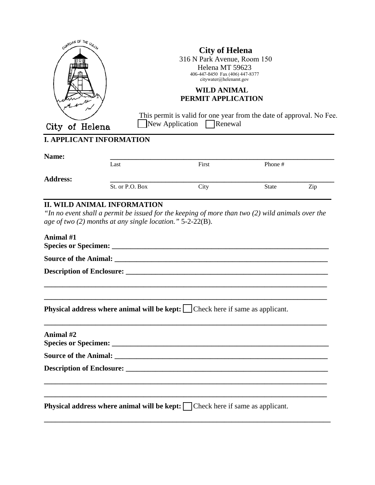| GUARDIAN OF THE GU <sub>CK</sub><br>City of Helena |                                                                                            | <b>City of Helena</b><br>316 N Park Avenue, Room 150<br>Helena MT 59623<br>406-447-8450 Fax (406) 447-8377<br>citywater@helenamt.gov<br><b>WILD ANIMAL</b><br>PERMIT APPLICATION<br>This permit is valid for one year from the date of approval. No Fee.<br>$\Box$ New Application $\Box$ Renewal |              |     |  |
|----------------------------------------------------|--------------------------------------------------------------------------------------------|---------------------------------------------------------------------------------------------------------------------------------------------------------------------------------------------------------------------------------------------------------------------------------------------------|--------------|-----|--|
| <b>I. APPLICANT INFORMATION</b>                    |                                                                                            |                                                                                                                                                                                                                                                                                                   |              |     |  |
| Name:                                              | Last                                                                                       | First                                                                                                                                                                                                                                                                                             | Phone #      |     |  |
| <b>Address:</b>                                    | St. or P.O. Box                                                                            | City                                                                                                                                                                                                                                                                                              | <b>State</b> | Zip |  |
| Animal #1                                          |                                                                                            |                                                                                                                                                                                                                                                                                                   |              |     |  |
|                                                    | Physical address where animal will be kept: Check here if same as applicant.               |                                                                                                                                                                                                                                                                                                   |              |     |  |
| Animal #2                                          |                                                                                            |                                                                                                                                                                                                                                                                                                   |              |     |  |
|                                                    |                                                                                            |                                                                                                                                                                                                                                                                                                   |              |     |  |
|                                                    |                                                                                            |                                                                                                                                                                                                                                                                                                   |              |     |  |
|                                                    | <b>Physical address where animal will be kept:</b> $\Box$ Check here if same as applicant. |                                                                                                                                                                                                                                                                                                   |              |     |  |
|                                                    |                                                                                            |                                                                                                                                                                                                                                                                                                   |              |     |  |